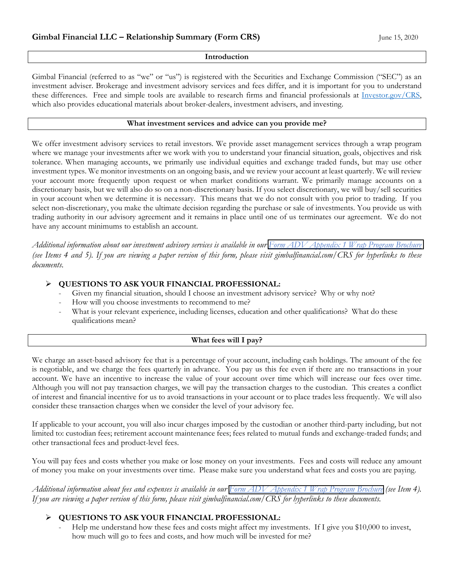#### **Introduction**

Gimbal Financial (referred to as "we" or "us") is registered with the Securities and Exchange Commission ("SEC") as an investment adviser. Brokerage and investment advisory services and fees differ, and it is important for you to understand these differences. Free and simple tools are available to research firms and financial professionals at [Investor.gov/CRS,](https://www.investor.gov/CRS) which also provides educational materials about broker-dealers, investment advisers, and investing.

#### **What investment services and advice can you provide me?**

We offer investment advisory services to retail investors. We provide asset management services through a wrap program where we manage your investments after we work with you to understand your financial situation, goals, objectives and risk tolerance. When managing accounts, we primarily use individual equities and exchange traded funds, but may use other investment types. We monitor investments on an ongoing basis, and we review your account at least quarterly. We will review your account more frequently upon request or when market conditions warrant. We primarily manage accounts on a discretionary basis, but we will also do so on a non-discretionary basis. If you select discretionary, we will buy/sell securities in your account when we determine it is necessary. This means that we do not consult with you prior to trading. If you select non-discretionary, you make the ultimate decision regarding the purchase or sale of investments. You provide us with trading authority in our advisory agreement and it remains in place until one of us terminates our agreement. We do not have any account minimums to establish an account.

*Additional information about our investment advisory services is available in our [Form ADV Appendix 1 Wrap Program Brochure](https://2d0d911c-372e-485c-955d-e8280e9456db.filesusr.com/ugd/af69d6_47094b31483442628736af04871ddf90.pdf)  (see Items 4 and 5). If you are viewing a paper version of this form, please visit gimbalfinancial.com/CRS for hyperlinks to these documents.* 

#### **QUESTIONS TO ASK YOUR FINANCIAL PROFESSIONAL:**

- Given my financial situation, should I choose an investment advisory service? Why or why not?
- How will you choose investments to recommend to me?
- What is your relevant experience, including licenses, education and other qualifications? What do these qualifications mean?

#### **What fees will I pay?**

We charge an asset-based advisory fee that is a percentage of your account, including cash holdings. The amount of the fee is negotiable, and we charge the fees quarterly in advance. You pay us this fee even if there are no transactions in your account. We have an incentive to increase the value of your account over time which will increase our fees over time. Although you will not pay transaction charges, we will pay the transaction charges to the custodian. This creates a conflict of interest and financial incentive for us to avoid transactions in your account or to place trades less frequently. We will also consider these transaction charges when we consider the level of your advisory fee.

If applicable to your account, you will also incur charges imposed by the custodian or another third-party including, but not limited to: custodian fees; retirement account maintenance fees; fees related to mutual funds and exchange-traded funds; and other transactional fees and product-level fees.

You will pay fees and costs whether you make or lose money on your investments. Fees and costs will reduce any amount of money you make on your investments over time. Please make sure you understand what fees and costs you are paying.

*Additional information about fees and expenses is available in our [Form ADV Appendix 1 Wrap Program Brochure](https://2d0d911c-372e-485c-955d-e8280e9456db.filesusr.com/ugd/af69d6_47094b31483442628736af04871ddf90.pdf) (see Item 4). If you are viewing a paper version of this form, please visit gimbalfinancial.com/CRS for hyperlinks to these documents.* 

# **QUESTIONS TO ASK YOUR FINANCIAL PROFESSIONAL:**

Help me understand how these fees and costs might affect my investments. If I give you \$10,000 to invest, how much will go to fees and costs, and how much will be invested for me?